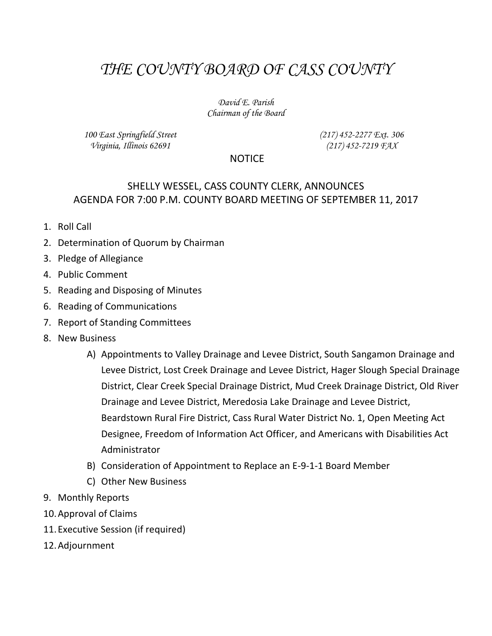## *THE COUNTY BOARD OF CASS COUNTY*

*David E. Parish Chairman of the Board*

*100 East Springfield Street Virginia, Illinois 62691*

*(217) 452-2277 Ext. 306 (217) 452-7219 FAX*

## **NOTICE**

## SHELLY WESSEL, CASS COUNTY CLERK, ANNOUNCES AGENDA FOR 7:00 P.M. COUNTY BOARD MEETING OF SEPTEMBER 11, 2017

- 1. Roll Call
- 2. Determination of Quorum by Chairman
- 3. Pledge of Allegiance
- 4. Public Comment
- 5. Reading and Disposing of Minutes
- 6. Reading of Communications
- 7. Report of Standing Committees
- 8. New Business
	- A) Appointments to Valley Drainage and Levee District, South Sangamon Drainage and Levee District, Lost Creek Drainage and Levee District, Hager Slough Special Drainage District, Clear Creek Special Drainage District, Mud Creek Drainage District, Old River Drainage and Levee District, Meredosia Lake Drainage and Levee District, Beardstown Rural Fire District, Cass Rural Water District No. 1, Open Meeting Act Designee, Freedom of Information Act Officer, and Americans with Disabilities Act Administrator
	- B) Consideration of Appointment to Replace an E-9-1-1 Board Member
	- C) Other New Business
- 9. Monthly Reports
- 10.Approval of Claims
- 11.Executive Session (if required)
- 12.Adjournment